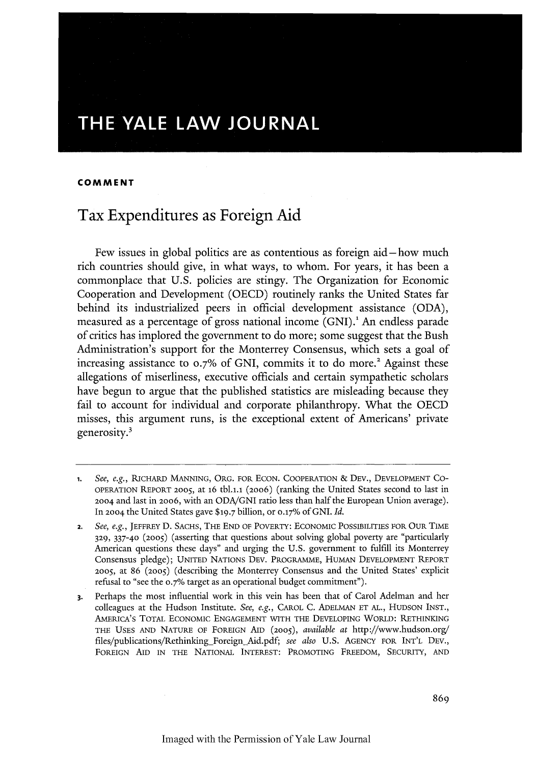# THE YALE LAW JOURNAL

### **COMMENT**

## Tax Expenditures as Foreign Aid

Few issues in global politics are as contentious as foreign aid-how much rich countries should give, in what ways, to whom. For years, it has been a commonplace that U.S. policies are stingy. The Organization for Economic Cooperation and Development (OECD) routinely ranks the United States far behind its industrialized peers in official development assistance (ODA), measured as a percentage of gross national income (GNI).<sup>1</sup> An endless parade of critics has implored the government to do more; some suggest that the Bush Administration's support for the Monterrey Consensus, which sets a goal of increasing assistance to  $0.7\%$  of GNI, commits it to do more.<sup>2</sup> Against these allegations of miserliness, executive officials and certain sympathetic scholars have begun to argue that the published statistics are misleading because they fail to account for individual and corporate philanthropy. What the OECD misses, this argument runs, is the exceptional extent of Americans' private generosity.'

**<sup>1.</sup>** *See, e.g.,* RICHARD MANNING, ORG. FOR ECON. COOPERATION & DEv., DEVELOPMENT CO-OPERATION REPORT **2005,** at 16 tbl.l.1 (2006) (ranking the United States second to last in **2004** and last in 20o6, with an ODA/GNI ratio less than half the European Union average). In 2004 the United States gave \$19.7 billion, or 0.17% of GNI. *Id.*

**<sup>2.</sup>** *See, e.g.,* JEFFREY D. SACHS, THE END OF POVERTY: ECONOMIC POSSIBILITIES FOR OUR TIME **329, 337-40** (2005) (asserting that questions about solving global poverty are "particularly American questions these days" and urging the U.S. government to fulfill its Monterrey Consensus pledge); UNITED NATIONS DEV. PROGRAMME, HUMAN DEVELOPMENT REPORT **2005,** at 86 (2005) (describing the Monterrey Consensus and the United States' explicit refusal to "see the **0.7%** target as an operational budget commitment").

**<sup>3.</sup>** Perhaps the most influential work in this vein has been that of Carol Adelman and her colleagues at the Hudson Institute. *See, e.g.,* **CAROL** C. ADELMAN ET AL., HUDSON INST., AMERICA'S TOTAL ECONOMIC ENGAGEMENT WITH THE DEVELOPING WORLD: RETHINKING THE USES AND NATURE OF FOREIGN AID **(2005),** *available at* http://www.hudson.org/ files/publications/Rethinking\_Foreign\_Aid.pdf; see also U.S. AGENCY FOR INT'L DEV., FOREIGN AID IN THE NATIONAL INTEREST: PROMOTING FREEDOM, SECURITY, AND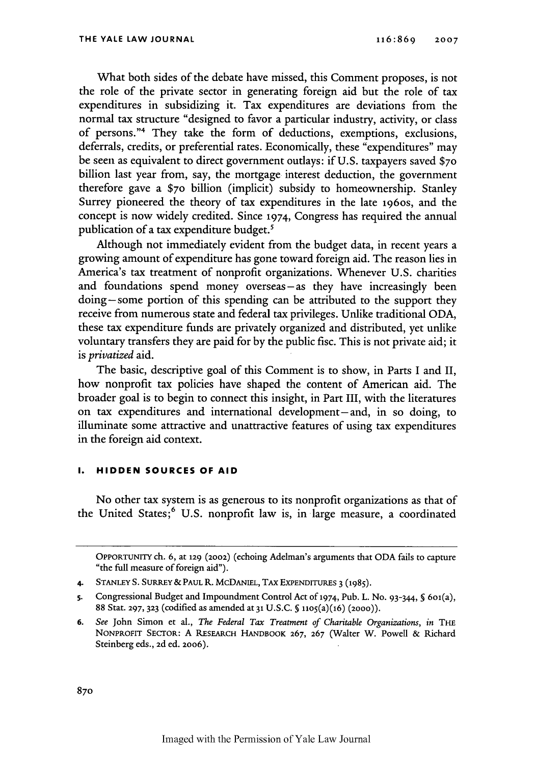What both sides of the debate have missed, this Comment proposes, is not the role of the private sector in generating foreign aid but the role of tax expenditures in subsidizing it. Tax expenditures are deviations from the normal tax structure "designed to favor a particular industry, activity, or class of persons."4 They take the form of deductions, exemptions, exclusions, deferrals, credits, or preferential rates. Economically, these "expenditures" may be seen as equivalent to direct government outlays: if U.S. taxpayers saved **\$70** billion last year from, say, the mortgage interest deduction, the government therefore gave a \$7o billion (implicit) subsidy to homeownership. Stanley Surrey pioneered the theory of tax expenditures in the late 196os, and the concept is now widely credited. Since 1974, Congress has required the annual publication of a tax expenditure budget.'

Although not immediately evident from the budget data, in recent years a growing amount of expenditure has gone toward foreign aid. The reason lies in America's tax treatment of nonprofit organizations. Whenever U.S. charities and foundations spend money overseas-as they have increasingly been doing-some portion of this spending can be attributed to the support they receive from numerous state and federal tax privileges. Unlike traditional ODA, these tax expenditure funds are privately organized and distributed, yet unlike voluntary transfers they are paid for by the public fisc. This is not private aid; it is *privatized* aid.

The basic, descriptive goal of this Comment is to show, in Parts I and II, how nonprofit tax policies have shaped the content of American aid. The broader goal is to begin to connect this insight, in Part III, with the literatures on tax expenditures and international development- and, in so doing, to illuminate some attractive and unattractive features of using tax expenditures in the foreign aid context.

## **I. HIDDEN SOURCES OF AID**

No other tax system is as generous to its nonprofit organizations as that of the United States;<sup>6</sup> U.S. nonprofit law is, in large measure, a coordinated

OPPORTUNITY ch. 6, at **129** (2002) (echoing Adelman's arguments that ODA fails to capture "the full measure of foreign aid").

**<sup>4.</sup> STANLEY** S. SURREY & **PAUL** R. McDANIEL, TAX EXPENDITURES **3 (1985).**

s. Congressional Budget and Impoundment Control Act of 1974, Pub. L. No. 93-344, **§** 6o1(a), 88 Stat. **297, 323** (codified as amended at **31** U.S.C. § 1105(a)(16) (2000)).

**<sup>6.</sup>** *See* John Simon et al., *The Federal Tax Treatment of Charitable Organizations, in* **THE** NoNPRoFrr SECrOR: A RESEARCH HANDBOOK **267, 267** (Walter W. Powell & Richard Steinberg eds., 2d ed. 20o6).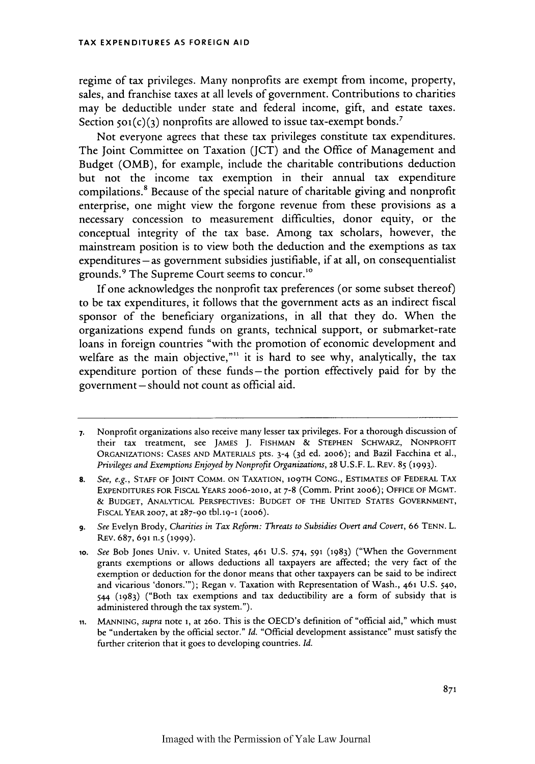regime of tax privileges. Many nonprofits are exempt from income, property, sales, and franchise taxes at all levels of government. Contributions to charities may be deductible under state and federal income, gift, and estate taxes. Section  $\varsigma$ 01(c)(3) nonprofits are allowed to issue tax-exempt bonds.<sup>7</sup>

Not everyone agrees that these tax privileges constitute tax expenditures. The Joint Committee on Taxation (JCT) and the Office of Management and Budget (OMB), for example, include the charitable contributions deduction but not the income tax exemption in their annual tax expenditure compilations. 8 Because of the special nature of charitable giving and nonprofit enterprise, one might view the forgone revenue from these provisions as a necessary concession to measurement difficulties, donor equity, or the conceptual integrity of the tax base. Among tax scholars, however, the mainstream position is to view both the deduction and the exemptions as tax  $expenditures - as government subsidies justifiable, if at all, on consequentialist$ grounds.9 The Supreme Court seems to concur."

If one acknowledges the nonprofit tax preferences (or some subset thereof) to be tax expenditures, it follows that the government acts as an indirect fiscal sponsor of the beneficiary organizations, in all that they do. When the organizations expend funds on grants, technical support, or submarket-rate loans in foreign countries "with the promotion of economic development and welfare as the main objective,"<sup>11</sup> it is hard to see why, analytically, the tax expenditure portion of these funds **-** the portion effectively paid for by the government -should not count as official aid.

**<sup>7.</sup>** Nonprofit organizations also receive many lesser tax privileges. For a thorough discussion of their tax treatment, see JAMES J. FISHMAN **&** STEPHEN SCHWARZ, NONPROFIT ORGANIZATIONS: CASES AND MATERIALS pts. 3-4 (3d ed. 20o6); and Bazil Facchina et al., *Privileges and Exemptions Enjoyed by Nonprofit Organizations,* **28** U.S.F. L. REV. **85 (1993).**

**<sup>8.</sup>** *See, e.g.,* STAFF OF JOINT COMM. ON TAXATION, 109TH CONG., ESTIMATES OF FEDERAL TAX EXPENDITURES FOR FIsCAL YEARS 20o6-2010, at 7-8 (Comm. Print 2006); **OFFICE** OF MGMT. **&** BUDGET, ANALYTICAL PERSPECTIVES: BUDGET OF THE UNITED STATES GOVERNMENT, FISCAL YEAR **2007,** at 287-90 tbl.19-1 (20o6).

*<sup>9.</sup> See* Evelyn Brody, *Charities in Tax Reform: Threats to Subsidies Overt and Coven,* 66 TENN. L. REV. **687, 691** n.5 **(1999).**

*<sup>1</sup>o. See* Bob Jones Univ. v. United States, 461 **U.S.** 574, **591** (1983) ("When the Government grants exemptions or allows deductions all taxpayers are affected; the very fact of the exemption or deduction for the donor means that other taxpayers can be said to be indirect and vicarious 'donors."'); Regan v. Taxation with Representation of Wash., **461 U.S.** 540, 544 (1983) ("Both tax exemptions and tax deductibility are a form of subsidy that is administered through the tax system.").

**<sup>11.</sup>** MANNING, *supra* note **i,** at 26o. This is the OECD's definition of "official aid," which must be "undertaken by the official sector." *Id.* "Official development assistance" must satisfy the further criterion that it goes to developing countries. *Id.*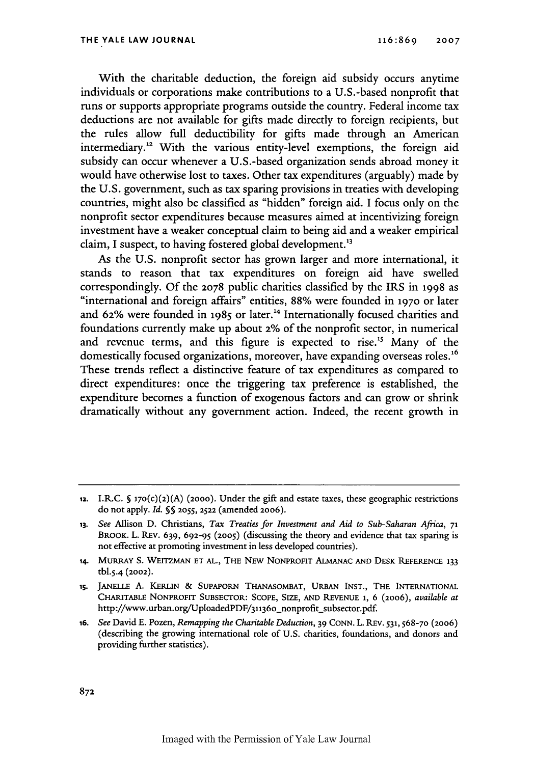With the charitable deduction, the foreign aid subsidy occurs anytime individuals or corporations make contributions to a U.S.-based nonprofit that runs or supports appropriate programs outside the country. Federal income tax deductions are not available for gifts made directly to foreign recipients, but the rules allow full deductibility for gifts made through an American intermediary.<sup>12</sup> With the various entity-level exemptions, the foreign aid subsidy can occur whenever a U.S.-based organization sends abroad money it would have otherwise lost to taxes. Other tax expenditures (arguably) made by the U.S. government, such as tax sparing provisions in treaties with developing countries, might also be classified as "hidden" foreign aid. I focus only on the nonprofit sector expenditures because measures aimed at incentivizing foreign investment have a weaker conceptual claim to being aid and a weaker empirical claim, I suspect, to having fostered global development."3

As the U.S. nonprofit sector has grown larger and more international, it stands to reason that tax expenditures on foreign aid have swelled correspondingly. Of the **2078** public charities classified by the IRS in 1998 as "international and foreign affairs" entities, 88% were founded in **1970** or later and 62% were founded in 1985 or later.<sup>14</sup> Internationally focused charities and foundations currently make up about 2% of the nonprofit sector, in numerical and revenue terms, and this figure is expected to rise.<sup>15</sup> Many of the domestically focused organizations, moreover, have expanding overseas roles.<sup>16</sup> These trends reflect a distinctive feature of tax expenditures as compared to direct expenditures: once the triggering tax preference is established, the expenditure becomes a function of exogenous factors and can grow or shrink dramatically without any government action. Indeed, the recent growth in

**<sup>12.</sup>** I.R.C. **§** 170(c)(2)(A) (2000). Under the gift and estate taxes, these geographic restrictions do not apply. *Id.* **§§ 2055, 2522** (amended 20o6).

**<sup>13.</sup>** *See* Allison **D.** Christians, *Tax Treaties for Investment and Aid to Sub-Saharan Africa, 71* BROOK. L. REv. **639, 692-95 (2005)** (discussing the theory and evidence that tax sparing is not effective at promoting investment in less developed countries).

<sup>14.</sup> MuRRAY **S. WEITZMAN ET AL.,** THE NEw NONPROFIT ALMANAC **AND DESK** REFERENCE **133** tbl.5.4 (2002).

**<sup>15.</sup> JANELLE A.** KERLIN **&** SUPAPORN THANASOMBAT, **URBAN INST., THE** INTERNATIONAL CHARITABLE NONPROFIT SUBSECTOR: **SCOPE,** SIZE, **AND** REVENUE 1, **6** (2006), *available at* http://www.urban.org/UploadedPDF/31136o\_nonprofit-subsector.pdf.

**<sup>16.</sup>** *See* David **E.** Pozen, *Remapping the Charitable Deduction,* **39 CONN.** L. **REv. 531,568-70 (2006)** (describing the growing international role of U.S. charities, foundations, and donors and providing further statistics).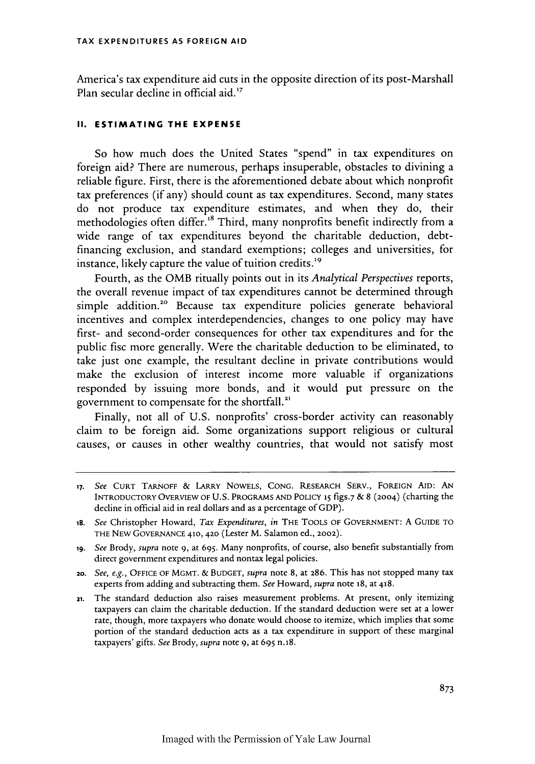America's tax expenditure aid cuts in the opposite direction of its post-Marshall Plan secular decline in official aid.<sup>17</sup>

## **II. ESTIMATING THE EXPENSE**

So how much does the United States "spend" in tax expenditures on foreign aid? There are numerous, perhaps insuperable, obstacles to divining a reliable figure. First, there is the aforementioned debate about which nonprofit tax preferences (if any) should count as tax expenditures. Second, many states do not produce tax expenditure estimates, and when they do, their methodologies often differ.<sup>18</sup> Third, many nonprofits benefit indirectly from a wide range of tax expenditures beyond the charitable deduction, debtfinancing exclusion, and standard exemptions; colleges and universities, for instance, likely capture the value of tuition credits.<sup>19</sup>

Fourth, as the OMB ritually points out in its *Analytical Perspectives* reports, the overall revenue impact of tax expenditures cannot be determined through simple addition.<sup>20</sup> Because tax expenditure policies generate behavioral incentives and complex interdependencies, changes to one policy may have first- and second-order consequences for other tax expenditures and for the public fisc more generally. Were the charitable deduction to be eliminated, to take just one example, the resultant decline in private contributions would make the exclusion of interest income more valuable if organizations responded by issuing more bonds, and it would put pressure on the government to compensate for the shortfall.<sup>21</sup>

Finally, not all of U.S. nonprofits' cross-border activity can reasonably claim to be foreign aid. Some organizations support religious or cultural causes, or causes in other wealthy countries, that would not satisfy most

**<sup>17.</sup>** *See* **CURT TARNOFF** & LARRY **NOWELS, CONG.** RESEARCH SERV., FOREIGN **AID: AN** INTRODUCTORY OVERVIEW OF **U.S.** PROGRAMS **AND** POLICY **15 figs.7** & 8 (2004) (charting the decline in official aid in real dollars and as a percentage of GDP).

*<sup>18.</sup> See* Christopher Howard, *Tax Expenditures, in* THE **TOOLS** OF **GOVERNMENT:** A **GUIDE** TO THE NEW GOVERNANCE 410,420 (Lester M. Salamon ed., 2002).

**<sup>19.</sup>** *See* Brody, *supra* note 9, at 695. Many nonprofits, of course, also benefit substantially from direct government expenditures and nontax legal policies.

*<sup>2</sup>o. See, e.g.,* **OFFICE** OF MGMT. & **BUDGET,** *supra* note 8, at **286.** This has not stopped many tax experts from adding and subtracting them. *See* Howard, *supra* note 18, at 418.

<sup>21.</sup> The standard deduction also raises measurement problems. At present, only itemizing taxpayers can claim the charitable deduction. If the standard deduction were set at a lower rate, though, more taxpayers who donate would choose to itemize, which implies that some portion of the standard deduction acts as a tax expenditure in support of these marginal taxpayers' gifts. *See* Brody, *supra* note 9, at 695 n.18.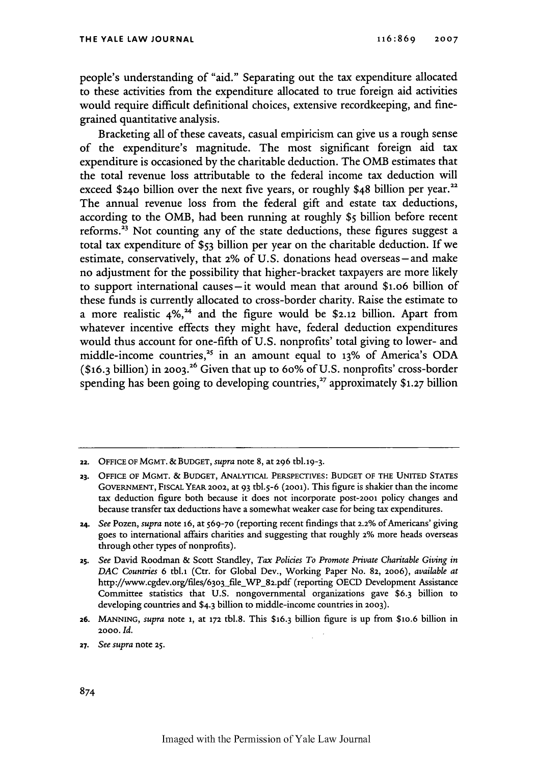people's understanding of "aid." Separating out the tax expenditure allocated to these activities from the expenditure allocated to true foreign aid activities would require difficult definitional choices, extensive recordkeeping, and finegrained quantitative analysis.

Bracketing all of these caveats, casual empiricism can give us a rough sense of the expenditure's magnitude. The most significant foreign aid tax expenditure is occasioned by the charitable deduction. The OMB estimates that the total revenue loss attributable to the federal income tax deduction will exceed \$240 billion over the next five years, or roughly \$48 billion per year.<sup>22</sup> The annual revenue loss from the federal gift and estate tax deductions, according to the OMB, had been running at roughly **\$5** billion before recent reforms.<sup>23</sup> Not counting any of the state deductions, these figures suggest a total tax expenditure of *\$53* billion per year on the charitable deduction. If we estimate, conservatively, that 2% of U.S. donations head overseas - and make no adjustment for the possibility that higher-bracket taxpayers are more likely to support international causes-it would mean that around \$1.o6 billion of these funds is currently allocated to cross-border charity. Raise the estimate to a more realistic 4%, 4 and the figure would be **\$2.12** billion. Apart from whatever incentive effects they might have, federal deduction expenditures would thus account for one-fifth of U.S. nonprofits' total giving to lower- and middle-income countries,<sup>25</sup> in an amount equal to 13% of America's ODA (\$16.3 billion) in **2003.26** Given that up to 6o% of U.S. nonprofits' cross-border spending has been going to developing countries,<sup>27</sup> approximately \$1.27 billion

**<sup>22.</sup> OFFICE OF MGMT. & BUDGET,** *supra* note 8, at **296** tbl.19 - <sup>3</sup> .

**<sup>23.</sup>** OFFICE **OF MGMT. & BUDGET,** ANALYTICAL **PERSPECTIVES: BUDGET** OF **THE UNITED STATES GOVERNMENT,** FISCAL **YEAR 2002,** at 93 tbl.5-6 **(2001).** This figure is shakier than the income tax deduction figure both because it does not incorporate post-2001 policy changes and because transfer tax deductions have a somewhat weaker case for being tax expenditures.

<sup>24.</sup> *See Pozen, supra note 16, at 569-70 (reporting recent findings that 2.2% of Americans' giving* goes to international affairs charities and suggesting that roughly **2%** more heads overseas through other types of nonprofits).

*<sup>25.</sup> See* David Roodman & Scott Standley, *Tax Policies To Promote Private Charitable Giving in DAC Countries* 6 tbl.1 (Ctr. for Global Dev., Working Paper No. **82,** 20o6), *available at* http://www.cgdev.org/files/63o3-file WP-82.pdf (reporting OECD Development Assistance Committee statistics that U.S. nongovernmental organizations gave \$6.3 billion to developing countries and \$4.3 billion to middle-income countries in **2003).**

**<sup>26.</sup> MANNING,** *supra* note **i,** at **172** tbl.8. This \$16.3 billion figure is up from \$1o.6 billion in **2000.** *Id.*

**<sup>27.</sup>** *See supra* note **25.**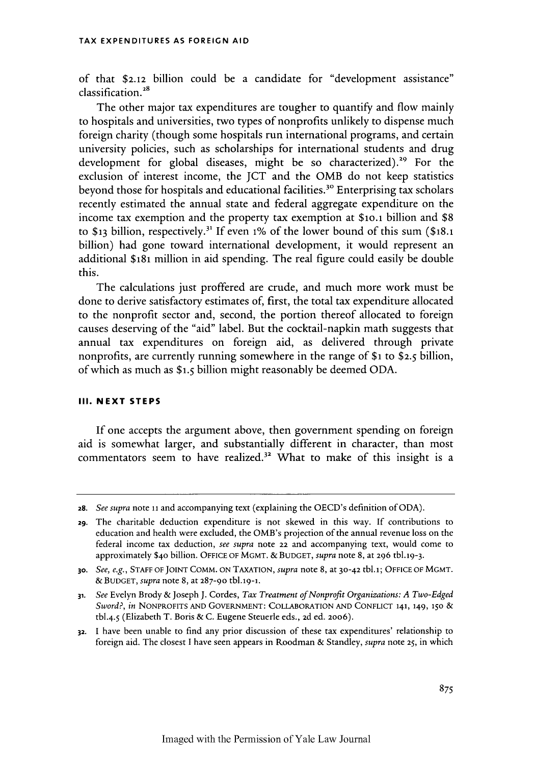of that \$2.12 billion could be a candidate for "development assistance" classification.<sup>28</sup>

The other major tax expenditures are tougher to quantify and flow mainly to hospitals and universities, two types of nonprofits unlikely to dispense much foreign charity (though some hospitals run international programs, and certain university policies, such as scholarships for international students and drug development for global diseases, might be so characterized).<sup>29</sup> For the exclusion of interest income, the JCT and the OMB do not keep statistics beyond those for hospitals and educational facilities.<sup>30</sup> Enterprising tax scholars recently estimated the annual state and federal aggregate expenditure on the income tax exemption and the property tax exemption at \$io.1 billion and \$8 to \$13 billion, respectively.<sup>31</sup> If even 1% of the lower bound of this sum (\$18.1) billion) had gone toward international development, it would represent an additional **\$181** million in aid spending. The real figure could easily be double this.

The calculations just proffered are crude, and much more work must be done to derive satisfactory estimates of, first, the total tax expenditure allocated to the nonprofit sector and, second, the portion thereof allocated to foreign causes deserving of the "aid" label. But the cocktail-napkin math suggests that annual tax expenditures on foreign aid, as delivered through private nonprofits, are currently running somewhere in the range of **\$1** to \$2.5 billion, of which as much as **\$1.5** billion might reasonably be deemed ODA.

### **III. NEXT STEPS**

If one accepts the argument above, then government spending on foreign aid is somewhat larger, and substantially different in character, than most commentators seem to have realized.<sup>32</sup> What to make of this insight is a

**<sup>28.</sup>** *See supra* note **11** and accompanying text (explaining the OECD's definition of ODA).

<sup>29.</sup> The charitable deduction expenditure is not skewed in this way. If contributions to education and health were excluded, the OMB's projection of the annual revenue loss on the federal income tax deduction, *see supra* note 22 and accompanying text, would come to approximately \$40 billion. OFFICE OF MGMT. & BUDGET, *supra* note 8, at 296 tbl.19-3.

**<sup>30.</sup>** *See, e.g.,* STAFF OF JOINT COMM. ON TAXATION, *supra* note 8, at 30-42 tbl.i; OFFICE OF MGMT. &BUDGET, *supra* note 8, at 287-90 tbl.19-1.

**<sup>31.</sup>** *See* Evelyn Brody & Joseph J. Cordes, *Tax Treatment of Nonprofit Organizations: A Two-Edged Sword?, in* NONPROFITS AND GOVERNMENT: COLLABORATION AND CONFLICT 141,149, **150** & tbl.4.5 (Elizabeth T. Boris & C. Eugene Steuerle eds., 2d ed. 2006).

**<sup>32.</sup>** I have been unable to find any prior discussion of these tax expenditures' relationship to foreign aid. The closest I have seen appears in Roodman & Standley, *supra* note **25,** in which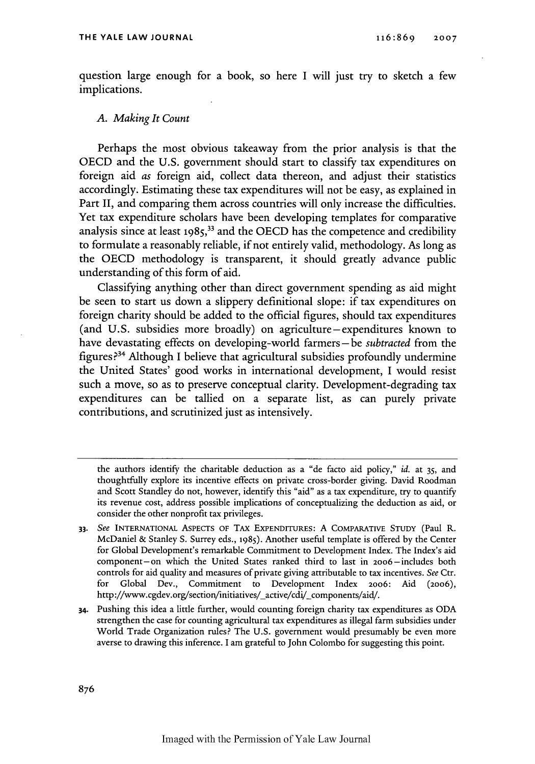question large enough for a book, so here I will just try to sketch a few implications.

## *A. Making It Count*

Perhaps the most obvious takeaway from the prior analysis is that the OECD and the U.S. government should start to classify tax expenditures on foreign aid *as* foreign aid, collect data thereon, and adjust their statistics accordingly. Estimating these tax expenditures will not be easy, as explained in Part II, and comparing them across countries will only increase the difficulties. Yet tax expenditure scholars have been developing templates for comparative analysis since at least  $1985$ ,  $33$  and the OECD has the competence and credibility to formulate a reasonably reliable, if not entirely valid, methodology. As long as the OECD methodology is transparent, it should greatly advance public understanding of this form of aid.

Classifying anything other than direct government spending as aid might be seen to start us down a slippery definitional slope: if tax expenditures on foreign charity should be added to the official figures, should tax expenditures (and U.S. subsidies more broadly) on agriculture -expenditures known to have devastating effects on developing-world farmers-be *subtracted* from the figures ? 4 Although I believe that agricultural subsidies profoundly undermine the United States' good works in international development, I would resist such a move, so as to preserve conceptual clarity. Development-degrading tax expenditures can be tallied on a separate list, as can purely private contributions, and scrutinized just as intensively.

the authors identify the charitable deduction as a "de facto aid policy," *id.* at 35, and thoughtfully explore its incentive effects on private cross-border giving. David Roodman and Scott Standley do not, however, identify this "aid" as a tax expenditure, try to quantify its revenue cost, address possible implications of conceptualizing the deduction as aid, or consider the other nonprofit tax privileges.

**<sup>33.</sup>** See INTERNATIONAL ASPECTS **OF** TAX **EXPENDITURES:** A **COMPARATIVE STUDY** (Paul R. McDaniel & Stanley S. Surrey eds., 1985). Another useful template is offered by the Center for Global Development's remarkable Commitment to Development Index. The Index's aid component-on which the United States ranked third to last in 20o6-includes both controls for aid quality and measures of private giving attributable to tax incentives. See Ctr. for Global Dev., Commitment to Development Index 2006: Aid (20o6), http://www.cgdev.org/section/initiatives/\_active/cdi/\_components/aid/.

**<sup>34.</sup>** Pushing this idea a little further, would counting foreign charity tax expenditures as ODA strengthen the case for counting agricultural tax expenditures as illegal farm subsidies under World Trade Organization rules? The U.S. government would presumably be even more averse to drawing this inference. I am grateful to John Colombo for suggesting this point.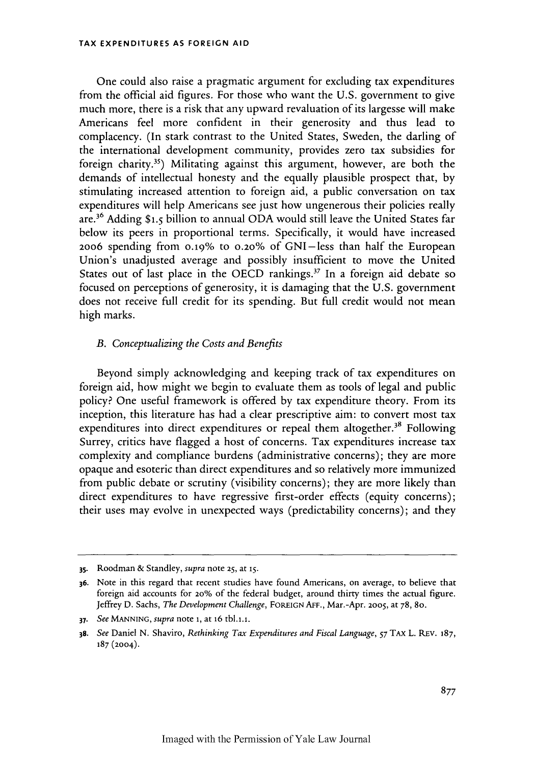One could also raise a pragmatic argument for excluding tax expenditures from the official aid figures. For those who want the **U.S.** government to give much more, there is a risk that any upward revaluation of its largesse will make Americans feel more confident in their generosity and thus lead to complacency. (In stark contrast to the United States, Sweden, the darling of the international development community, provides zero tax subsidies for foreign charity.<sup>35</sup>) Militating against this argument, however, are both the demands of intellectual honesty and the equally plausible prospect that, by stimulating increased attention to foreign aid, a public conversation on tax expenditures will help Americans see just how ungenerous their policies really are. 6 Adding **\$1.5** billion to annual **ODA** would still leave the United States far below its peers in proportional terms. Specifically, it would have increased 2006 spending from 0.19% to 0.20% of GNI-less than half the European Union's unadjusted average and possibly insufficient to move the United States out of last place in the OECD rankings.<sup>37</sup> In a foreign aid debate so focused on perceptions of generosity, it is damaging that the U.S. government does not receive full credit for its spending. But full credit would not mean high marks.

## *B. Conceptualizing the Costs and Benefits*

Beyond simply acknowledging and keeping track of tax expenditures on foreign aid, how might we begin to evaluate them as tools of legal and public policy? One useful framework is offered by tax expenditure theory. From its inception, this literature has had a clear prescriptive aim: to convert most tax expenditures into direct expenditures or repeal them altogether.<sup>38</sup> Following Surrey, critics have flagged a host of concerns. Tax expenditures increase tax complexity and compliance burdens (administrative concerns); they are more opaque and esoteric than direct expenditures and so relatively more immunized from public debate or scrutiny (visibility concerns); they are more likely than direct expenditures to have regressive first-order effects (equity concerns); their uses may evolve in unexpected ways (predictability concerns); and they

**<sup>35.</sup>** Roodman & Standley, *supra* note **25,** at *15.*

**<sup>36.</sup>** Note in this regard that recent studies have found Americans, on average, to believe that foreign aid accounts for 20% of the federal budget, around thirty times the actual figure. Jeffrey D. Sachs, *The Development Challenge,* **FOREIGN AFF.,** Mar.-Apr. **2005,** at 78, 8o.

*<sup>37.</sup> See* **MANNING,** *supra* note **i,** at 16 tbl.i.i.

**<sup>38.</sup>** *See* Daniel N. Shaviro, *Rethinking Tax Expenditures and Fiscal Language, 57* TAx L. REv. 187, **187** (2004).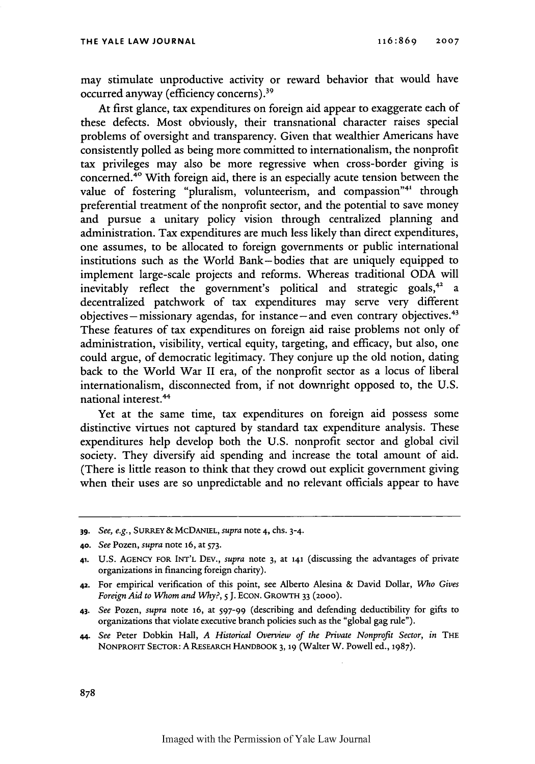may stimulate unproductive activity or reward behavior that would have occurred anyway (efficiency concerns).<sup>39</sup>

At first glance, tax expenditures on foreign aid appear to exaggerate each of these defects. Most obviously, their transnational character raises special problems of oversight and transparency. Given that wealthier Americans have consistently polled as being more committed to internationalism, the nonprofit tax privileges may also be more regressive when cross-border giving is concerned. 4° With foreign aid, there is an especially acute tension between the value of fostering "pluralism, volunteerism, and compassion"<sup>41</sup> through preferential treatment of the nonprofit sector, and the potential to save money and pursue a unitary policy vision through centralized planning and administration. Tax expenditures are much less likely than direct expenditures, one assumes, to be allocated to foreign governments or public international institutions such as the World Bank-bodies that are uniquely equipped to implement large-scale projects and reforms. Whereas traditional ODA will inevitably reflect the government's political and strategic goals,<sup>42</sup> a decentralized patchwork of tax expenditures may serve very different objectives – missionary agendas, for instance – and even contrary objectives.<sup>43</sup> These features of tax expenditures on foreign aid raise problems not only of administration, visibility, vertical equity, targeting, and efficacy, but also, one could argue, of democratic legitimacy. They conjure up the old notion, dating back to the World War II era, of the nonprofit sector as a locus of liberal internationalism, disconnected from, if not downright opposed to, the U.S. national interest.<sup>44</sup>

Yet at the same time, tax expenditures on foreign aid possess some distinctive virtues not captured by standard tax expenditure analysis. These expenditures help develop both the U.S. nonprofit sector and global civil society. They diversify aid spending and increase the total amount of aid. (There is little reason to think that they crowd out explicit government giving when their uses are so unpredictable and no relevant officials appear to have

*<sup>39.</sup> See, e.g.,* SURREY & McDANIEL, *supra* note 4, chs. 3-4.

**<sup>40.</sup>** *See* Pozen, *supra* note **16,** at 573.

<sup>41.</sup> U.S. AGENCY FOR INT'L DEv., *supra* note 3, at 141 (discussing the advantages of private organizations in financing foreign charity).

**<sup>42.</sup>** For empirical verification of this point, see Alberto Alesina & David Dollar, *Who Gives Foreign Aid to Whom and Why?, S* **J.** ECON. GROWTH **33** (2000).

<sup>43.</sup> *See* Pozen, *supra* note 16, at **597-99** (describing and defending deductibility for gifts to organizations that violate executive branch policies such as the "global gag rule").

*<sup>44.</sup> See* Peter Dobkin Hall, *A Historical Overview of the Private Nonprofit Sector, in THE* NONPROFIT SECTOR: A RESEARCH HANDBOOK **3, 19** (Walter W. Powell ed., 1987).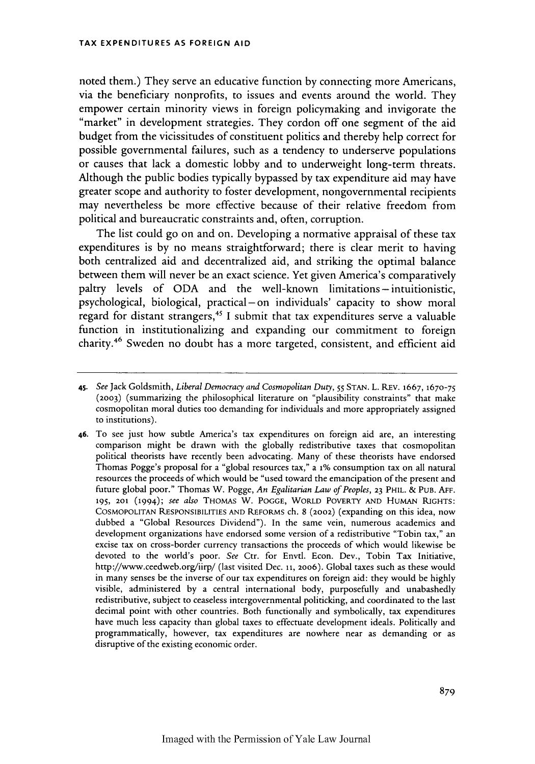noted them.) They serve an educative function by connecting more Americans, via the beneficiary nonprofits, to issues and events around the world. They empower certain minority views in foreign policymaking and invigorate the "market" in development strategies. They cordon off one segment of the aid budget from the vicissitudes of constituent politics and thereby help correct for possible governmental failures, such as a tendency to underserve populations or causes that lack a domestic lobby and to underweight long-term threats. Although the public bodies typically bypassed by tax expenditure aid may have greater scope and authority to foster development, nongovernmental recipients may nevertheless be more effective because of their relative freedom from political and bureaucratic constraints and, often, corruption.

The list could go on and on. Developing a normative appraisal of these tax expenditures is by no means straightforward; there is clear merit to having both centralized aid and decentralized aid, and striking the optimal balance between them will never be an exact science. Yet given America's comparatively paltry levels of ODA and the well-known limitations- intuitionistic, psychological, biological, practical-on individuals' capacity to show moral regard for distant strangers,4" I submit that tax expenditures serve a valuable function in institutionalizing and expanding our commitment to foreign charity.<sup>46</sup> Sweden no doubt has a more targeted, consistent, and efficient aid

**<sup>45.</sup>** *See* Jack Goldsmith, *Liberal Democracy and Cosmopolitan Duty,* 55 STAN. L. REV. 1667, **1670-75 (2003)** (summarizing the philosophical literature on "plausibility constraints" that make cosmopolitan moral duties too demanding for individuals and more appropriately assigned to institutions).

**<sup>46.</sup>** To see just how subtle America's tax expenditures on foreign aid are, an interesting comparison might be drawn with the globally redistributive taxes that cosmopolitan political theorists have recently been advocating. Many of these theorists have endorsed Thomas Pogge's proposal for a "global resources tax," a **i%** consumption tax on all natural resources the proceeds of which would be "used toward the emancipation of the present and future global poor." Thomas W. Pogge, *An Egalitarian Law of Peoples,* **23 PHIL. & PUB. AFF. 195, 201** (1994); *see also* **THOMAS W. POGGE,** WORLD POVERTY **AND** HUMAN **RIGHTS: COSMOPOLITAN RESPONSIBILITIES AND** REFORMS ch. 8 (2002) (expanding on this idea, now dubbed a "Global Resources Dividend"). In the same vein, numerous academics and development organizations have endorsed some version of a redistributive "Tobin tax," an excise tax on cross-border currency transactions the proceeds of which would likewise be devoted to the world's poor. *See* Ctr. for Envtl. Econ. Dev., Tobin Tax Initiative, http://www.ceedweb.org/iirp/ (last visited Dec. **11,** 2006). Global taxes such as these would in many senses be the inverse of our tax expenditures on foreign aid: they would be highly visible, administered by a central international body, purposefully and unabashedly redistributive, subject to ceaseless intergovernmental politicking, and coordinated to the last decimal point with other countries. Both functionally and symbolically, tax expenditures have much less capacity than global taxes to effectuate development ideals. Politically and programmatically, however, tax expenditures are nowhere near as demanding or as disruptive of the existing economic order.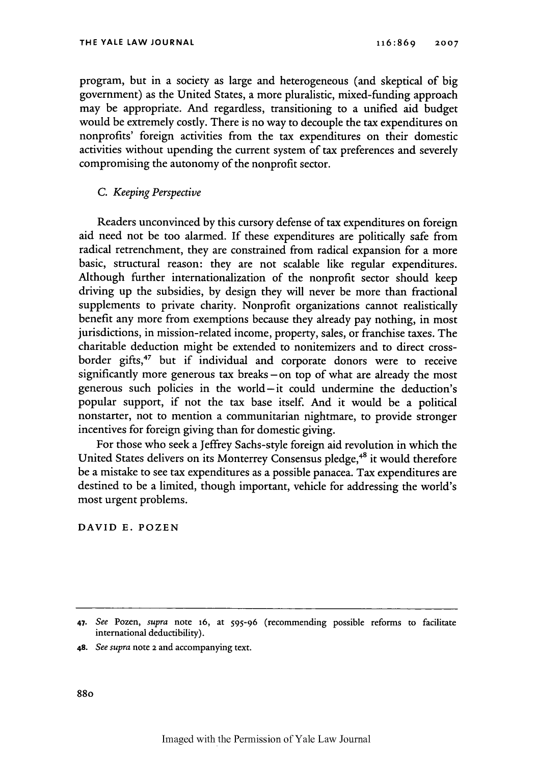program, but in a society as large and heterogeneous (and skeptical of big government) as the United States, a more pluralistic, mixed-funding approach may be appropriate. And regardless, transitioning to a unified aid budget would be extremely costly. There is no way to decouple the tax expenditures on nonprofits' foreign activities from the tax expenditures on their domestic activities without upending the current system of tax preferences and severely compromising the autonomy of the nonprofit sector.

## *C. Keeping Perspective*

Readers unconvinced by this cursory defense of tax expenditures on foreign aid need not be too alarmed. If these expenditures are politically safe from radical retrenchment, they are constrained from radical expansion for a more basic, structural reason: they are not scalable like regular expenditures. Although further internationalization of the nonprofit sector should keep driving up the subsidies, by design they will never be more than fractional supplements to private charity. Nonprofit organizations cannot realistically benefit any more from exemptions because they already pay nothing, in most jurisdictions, in mission-related income, property, sales, or franchise taxes. The charitable deduction might be extended to nonitemizers and to direct crossborder gifts,<sup>47</sup> but if individual and corporate donors were to receive significantly more generous tax breaks - on top of what are already the most generous such policies in the world-it could undermine the deduction's popular support, if not the tax base itself. And it would be a political nonstarter, not to mention a communitarian nightmare, to provide stronger incentives for foreign giving than for domestic giving.

For those who seek a Jeffrey Sachs-style foreign aid revolution in which the United States delivers on its Monterrey Consensus pledge,<sup>48</sup> it would therefore be a mistake to see tax expenditures as a possible panacea. Tax expenditures are destined to be a limited, though important, vehicle for addressing the world's most urgent problems.

**DAVID E. POZEN**

*<sup>47.</sup> See* Pozen, *supra* note **16,** at 595-96 (recommending possible reforms to facilitate international deductibility).

**<sup>48.</sup>** *See supra* note 2 and accompanying text.